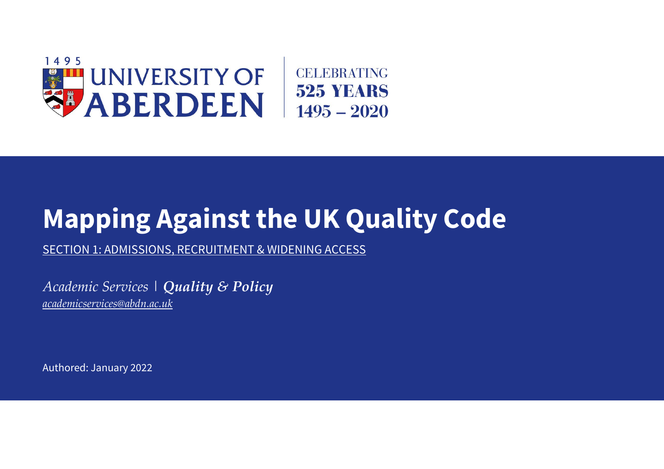

## **Mapping Against the UK Quality Code**

SECTION 1: ADMISSIONS, RECRUITMENT & WIDENING ACCESS

*Academic Services | Quality & Policy [academicservices@abdn.ac.uk](mailto:academicservices@abdn.ac.uk)*

Authored: January 2022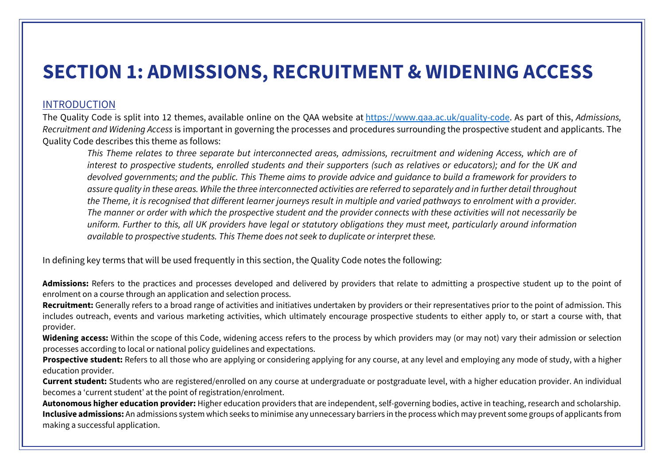## **SECTION 1: ADMISSIONS, RECRUITMENT & WIDENING ACCESS**

## INTRODUCTION

The Quality Code is split into 12 themes, available online on the QAA website at [https://www.qaa.ac.uk/quality-code.](https://www.qaa.ac.uk/quality-code) As part of this, *Admissions, Recruitment and Widening Access* is important in governing the processes and procedures surrounding the prospective student and applicants. The Quality Code describes this theme as follows:

*This Theme relates to three separate but interconnected areas, admissions, recruitment and widening Access, which are of interest to prospective students, enrolled students and their supporters (such as relatives or educators); and for the UK and devolved governments; and the public. This Theme aims to provide advice and guidance to build a framework for providers to assure quality in these areas. While the three interconnected activities are referred to separately and in further detail throughout the Theme, it is recognised that different learner journeys result in multiple and varied pathways to enrolment with a provider. The manner or order with which the prospective student and the provider connects with these activities will not necessarily be uniform. Further to this, all UK providers have legal or statutory obligations they must meet, particularly around information available to prospective students. This Theme does not seek to duplicate or interpret these.*

In defining key terms that will be used frequently in this section, the Quality Code notes the following: 

**Admissions:** Refers to the practices and processes developed and delivered by providers that relate to admitting a prospective student up to the point of enrolment on a course through an application and selection process.

**Recruitment:** Generally refers to a broad range of activities and initiatives undertaken by providers or their representatives prior to the point of admission. This includes outreach, events and various marketing activities, which ultimately encourage prospective students to either apply to, or start a course with, that provider.

**Widening access:** Within the scope of this Code, widening access refers to the process by which providers may (or may not) vary their admission or selection processes according to local or national policy guidelines and expectations.

**Prospective student:** Refers to all those who are applying or considering applying for any course, at any level and employing any mode of study, with a higher education provider.

**Current student:** Students who are registered/enrolled on any course at undergraduate or postgraduate level, with a higher education provider. An individual becomes a 'current student' at the point of registration/enrolment.

**Autonomous higher education provider:** Higher education providers that are independent, self-governing bodies, active in teaching, research and scholarship. **Inclusive admissions:** An admissions system which seeks to minimise any unnecessary barriers in the process which may prevent some groups of applicants from making a successful application.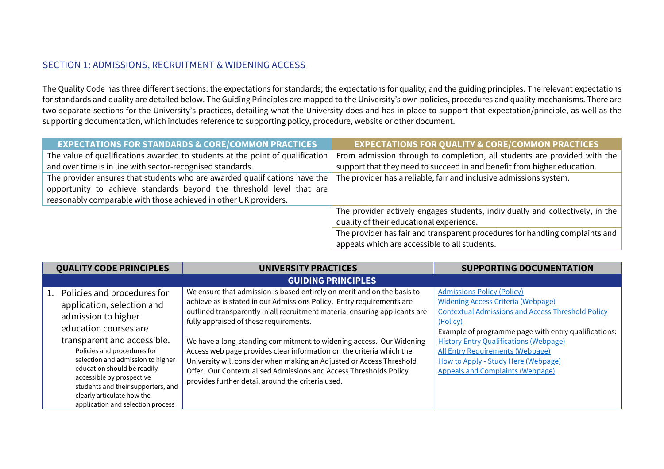## SECTION 1: ADMISSIONS, RECRUITMENT & WIDENING ACCESS

The Quality Code has three different sections: the expectations for standards; the expectations for quality; and the guiding principles. The relevant expectations for standards and quality are detailed below. The Guiding Principles are mapped to the University's own policies, procedures and quality mechanisms. There are two separate sections for the University's practices, detailing what the University does and has in place to support that expectation/principle, as well as the supporting documentation, which includes reference to supporting policy, procedure, website or other document.

| <b>EXPECTATIONS FOR STANDARDS &amp; CORE/COMMON PRACTICES</b>                                                                                                                                                          | <b>EXPECTATIONS FOR QUALITY &amp; CORE/COMMON PRACTICES</b>                                                                   |
|------------------------------------------------------------------------------------------------------------------------------------------------------------------------------------------------------------------------|-------------------------------------------------------------------------------------------------------------------------------|
| The value of qualifications awarded to students at the point of qualification                                                                                                                                          | From admission through to completion, all students are provided with the                                                      |
| and over time is in line with sector-recognised standards.                                                                                                                                                             | support that they need to succeed in and benefit from higher education.                                                       |
| The provider ensures that students who are awarded qualifications have the<br>opportunity to achieve standards beyond the threshold level that are<br>reasonably comparable with those achieved in other UK providers. | The provider has a reliable, fair and inclusive admissions system.                                                            |
|                                                                                                                                                                                                                        | The provider actively engages students, individually and collectively, in the<br>quality of their educational experience.     |
|                                                                                                                                                                                                                        | The provider has fair and transparent procedures for handling complaints and<br>appeals which are accessible to all students. |

| <b>QUALITY CODE PRINCIPLES</b>                                                                                                                                                                                                                                                                                                                                                       | <b>UNIVERSITY PRACTICES</b>                                                                                                                                                                                                                                                                                                                                                                                                                                                                                                                                                                                               | <b>SUPPORTING DOCUMENTATION</b>                                                                                                                                                                                                                                                                                                                                                              |
|--------------------------------------------------------------------------------------------------------------------------------------------------------------------------------------------------------------------------------------------------------------------------------------------------------------------------------------------------------------------------------------|---------------------------------------------------------------------------------------------------------------------------------------------------------------------------------------------------------------------------------------------------------------------------------------------------------------------------------------------------------------------------------------------------------------------------------------------------------------------------------------------------------------------------------------------------------------------------------------------------------------------------|----------------------------------------------------------------------------------------------------------------------------------------------------------------------------------------------------------------------------------------------------------------------------------------------------------------------------------------------------------------------------------------------|
|                                                                                                                                                                                                                                                                                                                                                                                      | <b>GUIDING PRINCIPLES</b>                                                                                                                                                                                                                                                                                                                                                                                                                                                                                                                                                                                                 |                                                                                                                                                                                                                                                                                                                                                                                              |
| 1. Policies and procedures for<br>application, selection and<br>admission to higher<br>education courses are<br>transparent and accessible.<br>Policies and procedures for<br>selection and admission to higher<br>education should be readily<br>accessible by prospective<br>students and their supporters, and<br>clearly articulate how the<br>application and selection process | We ensure that admission is based entirely on merit and on the basis to<br>achieve as is stated in our Admissions Policy. Entry requirements are<br>outlined transparently in all recruitment material ensuring applicants are<br>fully appraised of these requirements.<br>We have a long-standing commitment to widening access. Our Widening<br>Access web page provides clear information on the criteria which the<br>University will consider when making an Adjusted or Access Threshold<br>Offer. Our Contextualised Admissions and Access Thresholds Policy<br>provides further detail around the criteria used. | <b>Admissions Policy (Policy)</b><br><b>Widening Access Criteria (Webpage)</b><br><b>Contextual Admissions and Access Threshold Policy</b><br>(Policy)<br>Example of programme page with entry qualifications:<br><b>History Entry Qualifications (Webpage)</b><br><b>All Entry Requirements (Webpage)</b><br>How to Apply - Study Here (Webpage)<br><b>Appeals and Complaints (Webpage)</b> |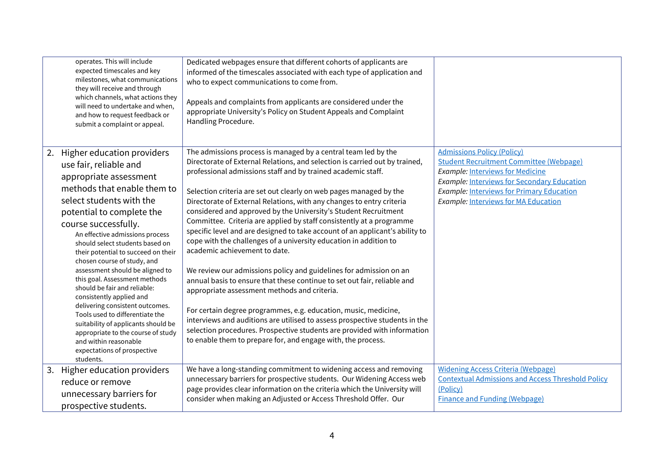|    | operates. This will include<br>expected timescales and key<br>milestones, what communications<br>they will receive and through<br>which channels, what actions they<br>will need to undertake and when,<br>and how to request feedback or<br>submit a complaint or appeal.                                                                                                                                                                                                                                                                                                                                                                                                               | Dedicated webpages ensure that different cohorts of applicants are<br>informed of the timescales associated with each type of application and<br>who to expect communications to come from.<br>Appeals and complaints from applicants are considered under the<br>appropriate University's Policy on Student Appeals and Complaint<br>Handling Procedure.                                                                                                                                                                                                                                                                                                                                                                                                                                                                                                                                                                                                                                                                                                                                                                                                                                     |                                                                                                                                                                                                                                                                                         |
|----|------------------------------------------------------------------------------------------------------------------------------------------------------------------------------------------------------------------------------------------------------------------------------------------------------------------------------------------------------------------------------------------------------------------------------------------------------------------------------------------------------------------------------------------------------------------------------------------------------------------------------------------------------------------------------------------|-----------------------------------------------------------------------------------------------------------------------------------------------------------------------------------------------------------------------------------------------------------------------------------------------------------------------------------------------------------------------------------------------------------------------------------------------------------------------------------------------------------------------------------------------------------------------------------------------------------------------------------------------------------------------------------------------------------------------------------------------------------------------------------------------------------------------------------------------------------------------------------------------------------------------------------------------------------------------------------------------------------------------------------------------------------------------------------------------------------------------------------------------------------------------------------------------|-----------------------------------------------------------------------------------------------------------------------------------------------------------------------------------------------------------------------------------------------------------------------------------------|
|    | 2. Higher education providers<br>use fair, reliable and<br>appropriate assessment<br>methods that enable them to<br>select students with the<br>potential to complete the<br>course successfully.<br>An effective admissions process<br>should select students based on<br>their potential to succeed on their<br>chosen course of study, and<br>assessment should be aligned to<br>this goal. Assessment methods<br>should be fair and reliable:<br>consistently applied and<br>delivering consistent outcomes.<br>Tools used to differentiate the<br>suitability of applicants should be<br>appropriate to the course of study<br>and within reasonable<br>expectations of prospective | The admissions process is managed by a central team led by the<br>Directorate of External Relations, and selection is carried out by trained,<br>professional admissions staff and by trained academic staff.<br>Selection criteria are set out clearly on web pages managed by the<br>Directorate of External Relations, with any changes to entry criteria<br>considered and approved by the University's Student Recruitment<br>Committee. Criteria are applied by staff consistently at a programme<br>specific level and are designed to take account of an applicant's ability to<br>cope with the challenges of a university education in addition to<br>academic achievement to date.<br>We review our admissions policy and guidelines for admission on an<br>annual basis to ensure that these continue to set out fair, reliable and<br>appropriate assessment methods and criteria.<br>For certain degree programmes, e.g. education, music, medicine,<br>interviews and auditions are utilised to assess prospective students in the<br>selection procedures. Prospective students are provided with information<br>to enable them to prepare for, and engage with, the process. | <b>Admissions Policy (Policy)</b><br><b>Student Recruitment Committee (Webpage)</b><br><b>Example: Interviews for Medicine</b><br><b>Example: Interviews for Secondary Education</b><br><b>Example: Interviews for Primary Education</b><br><b>Example: Interviews for MA Education</b> |
| 3. | students.<br>Higher education providers                                                                                                                                                                                                                                                                                                                                                                                                                                                                                                                                                                                                                                                  | We have a long-standing commitment to widening access and removing                                                                                                                                                                                                                                                                                                                                                                                                                                                                                                                                                                                                                                                                                                                                                                                                                                                                                                                                                                                                                                                                                                                            | <b>Widening Access Criteria (Webpage)</b>                                                                                                                                                                                                                                               |
|    | reduce or remove                                                                                                                                                                                                                                                                                                                                                                                                                                                                                                                                                                                                                                                                         | unnecessary barriers for prospective students. Our Widening Access web                                                                                                                                                                                                                                                                                                                                                                                                                                                                                                                                                                                                                                                                                                                                                                                                                                                                                                                                                                                                                                                                                                                        | <b>Contextual Admissions and Access Threshold Policy</b>                                                                                                                                                                                                                                |
|    |                                                                                                                                                                                                                                                                                                                                                                                                                                                                                                                                                                                                                                                                                          | page provides clear information on the criteria which the University will                                                                                                                                                                                                                                                                                                                                                                                                                                                                                                                                                                                                                                                                                                                                                                                                                                                                                                                                                                                                                                                                                                                     | (Policy)                                                                                                                                                                                                                                                                                |
|    | unnecessary barriers for<br>prospective students.                                                                                                                                                                                                                                                                                                                                                                                                                                                                                                                                                                                                                                        | consider when making an Adjusted or Access Threshold Offer. Our                                                                                                                                                                                                                                                                                                                                                                                                                                                                                                                                                                                                                                                                                                                                                                                                                                                                                                                                                                                                                                                                                                                               | <b>Finance and Funding (Webpage)</b>                                                                                                                                                                                                                                                    |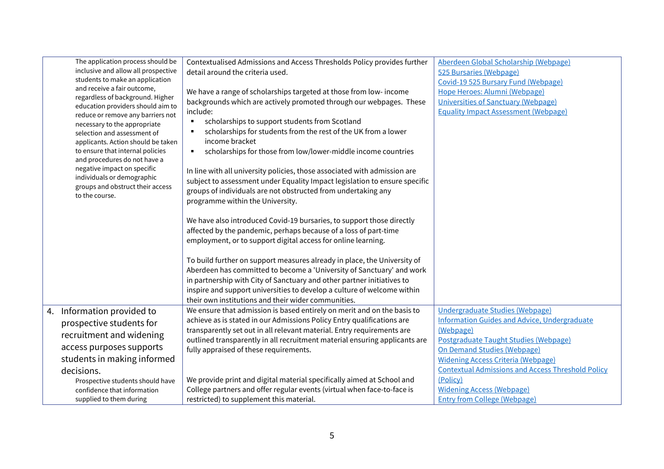| The application process should be<br>inclusive and allow all prospective<br>students to make an application<br>and receive a fair outcome,<br>regardless of background. Higher<br>education providers should aim to<br>reduce or remove any barriers not<br>necessary to the appropriate<br>selection and assessment of<br>applicants. Action should be taken<br>to ensure that internal policies<br>and procedures do not have a<br>negative impact on specific<br>individuals or demographic<br>groups and obstruct their access<br>to the course. | Contextualised Admissions and Access Thresholds Policy provides further<br>detail around the criteria used.<br>We have a range of scholarships targeted at those from low-income<br>backgrounds which are actively promoted through our webpages. These<br>include:<br>scholarships to support students from Scotland<br>٠<br>scholarships for students from the rest of the UK from a lower<br>income bracket<br>scholarships for those from low/lower-middle income countries<br>٠<br>In line with all university policies, those associated with admission are<br>subject to assessment under Equality Impact legislation to ensure specific<br>groups of individuals are not obstructed from undertaking any<br>programme within the University.<br>We have also introduced Covid-19 bursaries, to support those directly<br>affected by the pandemic, perhaps because of a loss of part-time<br>employment, or to support digital access for online learning.<br>To build further on support measures already in place, the University of<br>Aberdeen has committed to become a 'University of Sanctuary' and work | Aberdeen Global Scholarship (Webpage)<br>525 Bursaries (Webpage)<br>Covid-19 525 Bursary Fund (Webpage)<br>Hope Heroes: Alumni (Webpage)<br><b>Universities of Sanctuary (Webpage)</b><br><b>Equality Impact Assessment (Webpage)</b>                                                              |
|------------------------------------------------------------------------------------------------------------------------------------------------------------------------------------------------------------------------------------------------------------------------------------------------------------------------------------------------------------------------------------------------------------------------------------------------------------------------------------------------------------------------------------------------------|-------------------------------------------------------------------------------------------------------------------------------------------------------------------------------------------------------------------------------------------------------------------------------------------------------------------------------------------------------------------------------------------------------------------------------------------------------------------------------------------------------------------------------------------------------------------------------------------------------------------------------------------------------------------------------------------------------------------------------------------------------------------------------------------------------------------------------------------------------------------------------------------------------------------------------------------------------------------------------------------------------------------------------------------------------------------------------------------------------------------------|----------------------------------------------------------------------------------------------------------------------------------------------------------------------------------------------------------------------------------------------------------------------------------------------------|
|                                                                                                                                                                                                                                                                                                                                                                                                                                                                                                                                                      | in partnership with City of Sanctuary and other partner initiatives to<br>inspire and support universities to develop a culture of welcome within<br>their own institutions and their wider communities.                                                                                                                                                                                                                                                                                                                                                                                                                                                                                                                                                                                                                                                                                                                                                                                                                                                                                                                |                                                                                                                                                                                                                                                                                                    |
| 4. Information provided to<br>prospective students for<br>recruitment and widening<br>access purposes supports<br>students in making informed<br>decisions.                                                                                                                                                                                                                                                                                                                                                                                          | We ensure that admission is based entirely on merit and on the basis to<br>achieve as is stated in our Admissions Policy Entry qualifications are<br>transparently set out in all relevant material. Entry requirements are<br>outlined transparently in all recruitment material ensuring applicants are<br>fully appraised of these requirements.                                                                                                                                                                                                                                                                                                                                                                                                                                                                                                                                                                                                                                                                                                                                                                     | <b>Undergraduate Studies (Webpage)</b><br><b>Information Guides and Advice, Undergraduate</b><br>(Webpage)<br>Postgraduate Taught Studies (Webpage)<br><b>On Demand Studies (Webpage)</b><br><b>Widening Access Criteria (Webpage)</b><br><b>Contextual Admissions and Access Threshold Policy</b> |
| Prospective students should have<br>confidence that information<br>supplied to them during                                                                                                                                                                                                                                                                                                                                                                                                                                                           | We provide print and digital material specifically aimed at School and<br>College partners and offer regular events (virtual when face-to-face is<br>restricted) to supplement this material.                                                                                                                                                                                                                                                                                                                                                                                                                                                                                                                                                                                                                                                                                                                                                                                                                                                                                                                           | (Policy)<br><b>Widening Access (Webpage)</b><br><b>Entry from College (Webpage)</b>                                                                                                                                                                                                                |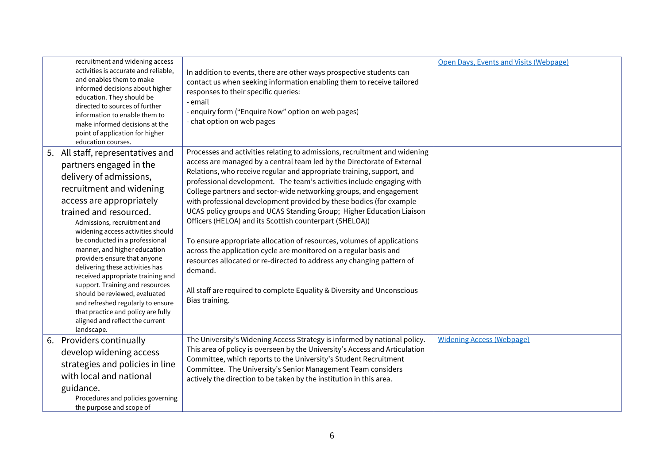|    | recruitment and widening access<br>activities is accurate and reliable,<br>and enables them to make<br>informed decisions about higher<br>education. They should be<br>directed to sources of further<br>information to enable them to<br>make informed decisions at the<br>point of application for higher<br>education courses.                                                                                                                                                                                                                                                                                    | In addition to events, there are other ways prospective students can<br>contact us when seeking information enabling them to receive tailored<br>responses to their specific queries:<br>- email<br>- enquiry form ("Enquire Now" option on web pages)<br>- chat option on web pages                                                                                                                                                                                                                                                                                                                                                                                                                                                                                                                                                                                                                                   | Open Days, Events and Visits (Webpage) |
|----|----------------------------------------------------------------------------------------------------------------------------------------------------------------------------------------------------------------------------------------------------------------------------------------------------------------------------------------------------------------------------------------------------------------------------------------------------------------------------------------------------------------------------------------------------------------------------------------------------------------------|------------------------------------------------------------------------------------------------------------------------------------------------------------------------------------------------------------------------------------------------------------------------------------------------------------------------------------------------------------------------------------------------------------------------------------------------------------------------------------------------------------------------------------------------------------------------------------------------------------------------------------------------------------------------------------------------------------------------------------------------------------------------------------------------------------------------------------------------------------------------------------------------------------------------|----------------------------------------|
| 5. | All staff, representatives and<br>partners engaged in the<br>delivery of admissions,<br>recruitment and widening<br>access are appropriately<br>trained and resourced.<br>Admissions, recruitment and<br>widening access activities should<br>be conducted in a professional<br>manner, and higher education<br>providers ensure that anyone<br>delivering these activities has<br>received appropriate training and<br>support. Training and resources<br>should be reviewed, evaluated<br>and refreshed regularly to ensure<br>that practice and policy are fully<br>aligned and reflect the current<br>landscape. | Processes and activities relating to admissions, recruitment and widening<br>access are managed by a central team led by the Directorate of External<br>Relations, who receive regular and appropriate training, support, and<br>professional development. The team's activities include engaging with<br>College partners and sector-wide networking groups, and engagement<br>with professional development provided by these bodies (for example<br>UCAS policy groups and UCAS Standing Group; Higher Education Liaison<br>Officers (HELOA) and its Scottish counterpart (SHELOA))<br>To ensure appropriate allocation of resources, volumes of applications<br>across the application cycle are monitored on a regular basis and<br>resources allocated or re-directed to address any changing pattern of<br>demand.<br>All staff are required to complete Equality & Diversity and Unconscious<br>Bias training. |                                        |
|    | 6. Providers continually<br>develop widening access<br>strategies and policies in line<br>with local and national<br>guidance.<br>Procedures and policies governing<br>the purpose and scope of                                                                                                                                                                                                                                                                                                                                                                                                                      | The University's Widening Access Strategy is informed by national policy.<br>This area of policy is overseen by the University's Access and Articulation<br>Committee, which reports to the University's Student Recruitment<br>Committee. The University's Senior Management Team considers<br>actively the direction to be taken by the institution in this area.                                                                                                                                                                                                                                                                                                                                                                                                                                                                                                                                                    | <b>Widening Access (Webpage)</b>       |